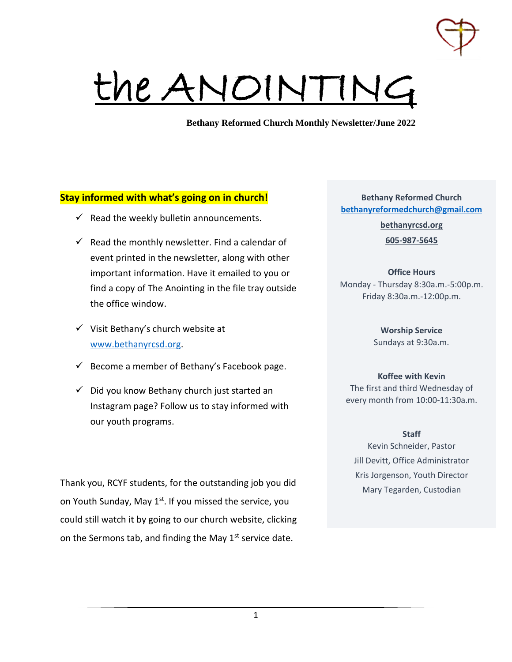

# the ANOINTING

**Bethany Reformed Church Monthly Newsletter/June 2022**

## **Stay informed with what's going on in church!**

- $\checkmark$  Read the weekly bulletin announcements.
- $\checkmark$  Read the monthly newsletter. Find a calendar of event printed in the newsletter, along with other important information. Have it emailed to you or find a copy of The Anointing in the file tray outside the office window.
- $\checkmark$  Visit Bethany's church website at www.bethanyrcsd.org.
- $\checkmark$  Become a member of Bethany's Facebook page.
- $\checkmark$  Did you know Bethany church just started an Instagram page? Follow us to stay informed with our youth programs.

Thank you, RCYF students, for the outstanding job you did on Youth Sunday, May 1<sup>st</sup>. If you missed the service, you could still watch it by going to our church website, clicking on the Sermons tab, and finding the May  $1<sup>st</sup>$  service date.

**Bethany Reformed Church bethanyreformedchurch@gmail.com**

> **bethanyrcsd.org 605-987-5645**

# **Office Hours**

Monday - Thursday 8:30a.m.-5:00p.m. Friday 8:30a.m.-12:00p.m.

> **Worship Service** Sundays at 9:30a.m.

# **Koffee with Kevin**

The first and third Wednesday of every month from 10:00-11:30a.m.

#### **Staff**

Kevin Schneider, Pastor Jill Devitt, Office Administrator Kris Jorgenson, Youth Director Mary Tegarden, Custodian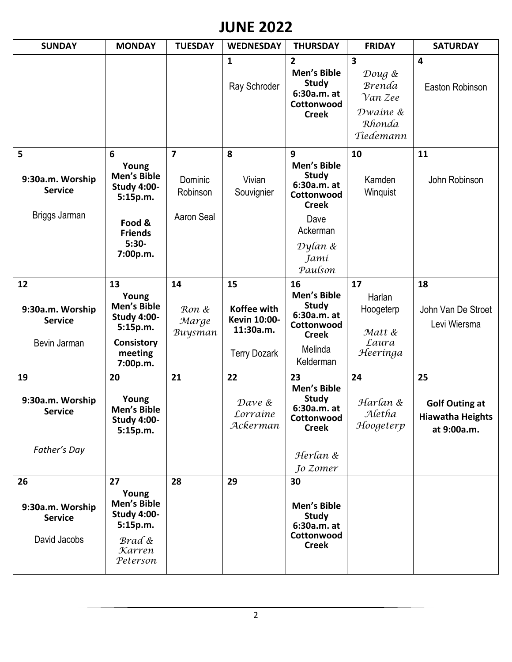# **JUNE 2022**

| <b>SUNDAY</b>                                            | <b>MONDAY</b>                                                                                                  | <b>TUESDAY</b>                                      | <b>WEDNESDAY</b>                                                             | <b>THURSDAY</b>                                                                                                                        | <b>FRIDAY</b>                                                                                    | <b>SATURDAY</b>                                                       |
|----------------------------------------------------------|----------------------------------------------------------------------------------------------------------------|-----------------------------------------------------|------------------------------------------------------------------------------|----------------------------------------------------------------------------------------------------------------------------------------|--------------------------------------------------------------------------------------------------|-----------------------------------------------------------------------|
|                                                          |                                                                                                                |                                                     | 1<br>Ray Schroder                                                            | $\overline{2}$<br>Men's Bible<br><b>Study</b><br>6:30a.m. at<br>Cottonwood<br><b>Creek</b>                                             | $\overline{\mathbf{3}}$<br>Doug &<br><b>Brenda</b><br>Van Zee<br>Dwaine &<br>Rhonda<br>Tiedemann | $\overline{4}$<br>Easton Robinson                                     |
| 5<br>9:30a.m. Worship<br><b>Service</b><br>Briggs Jarman | 6<br>Young<br>Men's Bible<br><b>Study 4:00-</b><br>5:15p.m.<br>Food &<br><b>Friends</b><br>$5:30-$<br>7:00p.m. | $\overline{7}$<br>Dominic<br>Robinson<br>Aaron Seal | 8<br>Vivian<br>Souvignier                                                    | 9<br><b>Men's Bible</b><br><b>Study</b><br>6:30a.m. at<br>Cottonwood<br><b>Creek</b><br>Dave<br>Ackerman<br>Dylan &<br>Jamí<br>Paulson | 10<br>Kamden<br>Winquist                                                                         | 11<br>John Robinson                                                   |
| 12<br>9:30a.m. Worship<br><b>Service</b><br>Bevin Jarman | 13<br>Young<br>Men's Bible<br><b>Study 4:00-</b><br>5:15p.m.<br>Consistory<br>meeting<br>7:00p.m.              | 14<br>Ron &<br>Marge<br>Buysman                     | 15<br>Koffee with<br><b>Kevin 10:00-</b><br>11:30a.m.<br><b>Terry Dozark</b> | 16<br>Men's Bible<br><b>Study</b><br>6:30a.m. at<br>Cottonwood<br><b>Creek</b><br>Melinda<br>Kelderman                                 | 17<br>Harlan<br>Hoogeterp<br>Matt &<br>Laura<br>Heeringa                                         | 18<br>John Van De Stroet<br>Levi Wiersma                              |
| 19<br>9:30a.m. Worship<br><b>Service</b><br>Father's Day | 20<br>Young<br>Men's Bible<br><b>Study 4:00-</b><br>5:15p.m.                                                   | 21                                                  | 22<br>Dave &<br>Lorraine<br>Ackerman                                         | 23<br><b>Men's Bible</b><br><b>Study</b><br>6:30a.m. at<br>Cottonwood<br><b>Creek</b><br>Herlan &<br>Jo Zomer                          | 24<br>Harlan &<br>Aletha<br>Hoogeterp                                                            | 25<br><b>Golf Outing at</b><br><b>Hiawatha Heights</b><br>at 9:00a.m. |
| 26<br>9:30a.m. Worship<br><b>Service</b><br>David Jacobs | 27<br>Young<br>Men's Bible<br><b>Study 4:00-</b><br>5:15p.m.<br>Brad &<br>Karren<br>Peterson                   | 28                                                  | 29                                                                           | 30<br>Men's Bible<br><b>Study</b><br>6:30a.m. at<br>Cottonwood<br><b>Creek</b>                                                         |                                                                                                  |                                                                       |